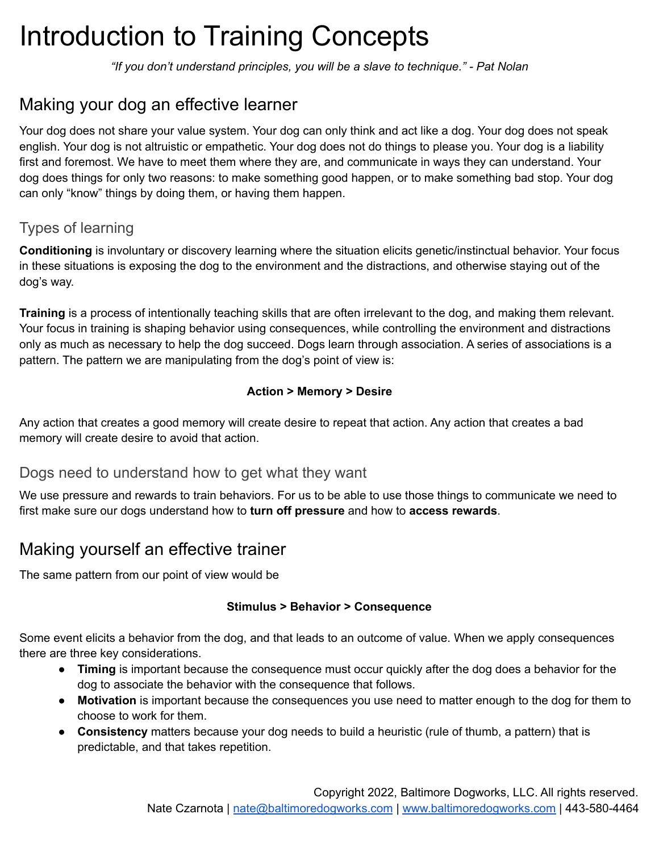# Introduction to Training Concepts

*"If you don't understand principles, you will be a slave to technique." - Pat Nolan*

# Making your dog an effective learner

Your dog does not share your value system. Your dog can only think and act like a dog. Your dog does not speak english. Your dog is not altruistic or empathetic. Your dog does not do things to please you. Your dog is a liability first and foremost. We have to meet them where they are, and communicate in ways they can understand. Your dog does things for only two reasons: to make something good happen, or to make something bad stop. Your dog can only "know" things by doing them, or having them happen.

#### Types of learning

**Conditioning** is involuntary or discovery learning where the situation elicits genetic/instinctual behavior. Your focus in these situations is exposing the dog to the environment and the distractions, and otherwise staying out of the dog's way.

**Training** is a process of intentionally teaching skills that are often irrelevant to the dog, and making them relevant. Your focus in training is shaping behavior using consequences, while controlling the environment and distractions only as much as necessary to help the dog succeed. Dogs learn through association. A series of associations is a pattern. The pattern we are manipulating from the dog's point of view is:

#### **Action > Memory > Desire**

Any action that creates a good memory will create desire to repeat that action. Any action that creates a bad memory will create desire to avoid that action.

#### Dogs need to understand how to get what they want

We use pressure and rewards to train behaviors. For us to be able to use those things to communicate we need to first make sure our dogs understand how to **turn off pressure** and how to **access rewards**.

## Making yourself an effective trainer

The same pattern from our point of view would be

#### **Stimulus > Behavior > Consequence**

Some event elicits a behavior from the dog, and that leads to an outcome of value. When we apply consequences there are three key considerations.

- **Timing** is important because the consequence must occur quickly after the dog does a behavior for the dog to associate the behavior with the consequence that follows.
- **Motivation** is important because the consequences you use need to matter enough to the dog for them to choose to work for them.
- **Consistency** matters because your dog needs to build a heuristic (rule of thumb, a pattern) that is predictable, and that takes repetition.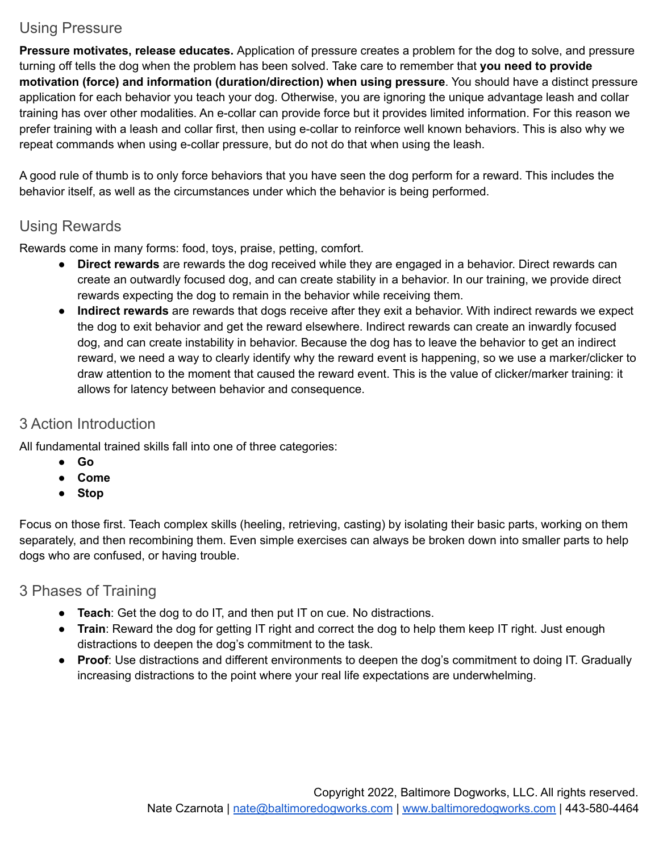### Using Pressure

**Pressure motivates, release educates.** Application of pressure creates a problem for the dog to solve, and pressure turning off tells the dog when the problem has been solved. Take care to remember that **you need to provide motivation (force) and information (duration/direction) when using pressure**. You should have a distinct pressure application for each behavior you teach your dog. Otherwise, you are ignoring the unique advantage leash and collar training has over other modalities. An e-collar can provide force but it provides limited information. For this reason we prefer training with a leash and collar first, then using e-collar to reinforce well known behaviors. This is also why we repeat commands when using e-collar pressure, but do not do that when using the leash.

A good rule of thumb is to only force behaviors that you have seen the dog perform for a reward. This includes the behavior itself, as well as the circumstances under which the behavior is being performed.

#### Using Rewards

Rewards come in many forms: food, toys, praise, petting, comfort.

- **Direct rewards** are rewards the dog received while they are engaged in a behavior. Direct rewards can create an outwardly focused dog, and can create stability in a behavior. In our training, we provide direct rewards expecting the dog to remain in the behavior while receiving them.
- **Indirect rewards** are rewards that dogs receive after they exit a behavior. With indirect rewards we expect the dog to exit behavior and get the reward elsewhere. Indirect rewards can create an inwardly focused dog, and can create instability in behavior. Because the dog has to leave the behavior to get an indirect reward, we need a way to clearly identify why the reward event is happening, so we use a marker/clicker to draw attention to the moment that caused the reward event. This is the value of clicker/marker training: it allows for latency between behavior and consequence.

#### 3 Action Introduction

All fundamental trained skills fall into one of three categories:

- **Go**
- **Come**
- **Stop**

Focus on those first. Teach complex skills (heeling, retrieving, casting) by isolating their basic parts, working on them separately, and then recombining them. Even simple exercises can always be broken down into smaller parts to help dogs who are confused, or having trouble.

#### 3 Phases of Training

- **Teach**: Get the dog to do IT, and then put IT on cue. No distractions.
- **Train**: Reward the dog for getting IT right and correct the dog to help them keep IT right. Just enough distractions to deepen the dog's commitment to the task.
- **Proof**: Use distractions and different environments to deepen the dog's commitment to doing IT. Gradually increasing distractions to the point where your real life expectations are underwhelming.